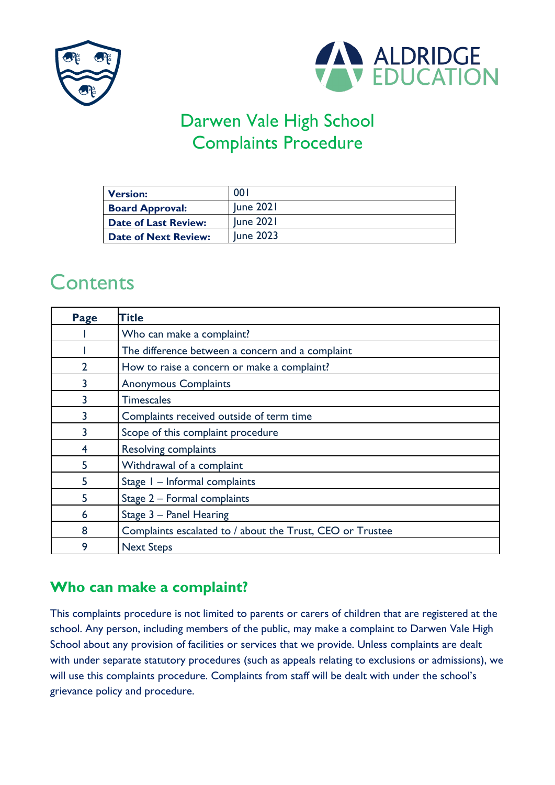



# Darwen Vale High School Complaints Procedure

| <b>Version:</b>             | <b>001</b>       |
|-----------------------------|------------------|
| <b>Board Approval:</b>      | June 2021        |
| <b>Date of Last Review:</b> | <b>June 2021</b> |
| <b>Date of Next Review:</b> | <b>Iune 2023</b> |

# **Contents**

| Page | <b>Title</b>                                              |
|------|-----------------------------------------------------------|
|      | Who can make a complaint?                                 |
|      | The difference between a concern and a complaint          |
|      | How to raise a concern or make a complaint?               |
|      | <b>Anonymous Complaints</b>                               |
|      | <b>Timescales</b>                                         |
|      | Complaints received outside of term time                  |
|      | Scope of this complaint procedure                         |
|      | <b>Resolving complaints</b>                               |
| 5    | Withdrawal of a complaint                                 |
| 5    | Stage I - Informal complaints                             |
|      | Stage 2 - Formal complaints                               |
| 6    | Stage 3 - Panel Hearing                                   |
| 8    | Complaints escalated to / about the Trust, CEO or Trustee |
| 9    | <b>Next Steps</b>                                         |

### **Who can make a complaint?**

This complaints procedure is not limited to parents or carers of children that are registered at the school. Any person, including members of the public, may make a complaint to Darwen Vale High School about any provision of facilities or services that we provide. Unless complaints are dealt with under separate statutory procedures (such as appeals relating to exclusions or admissions), we will use this complaints procedure. Complaints from staff will be dealt with under the school's grievance policy and procedure.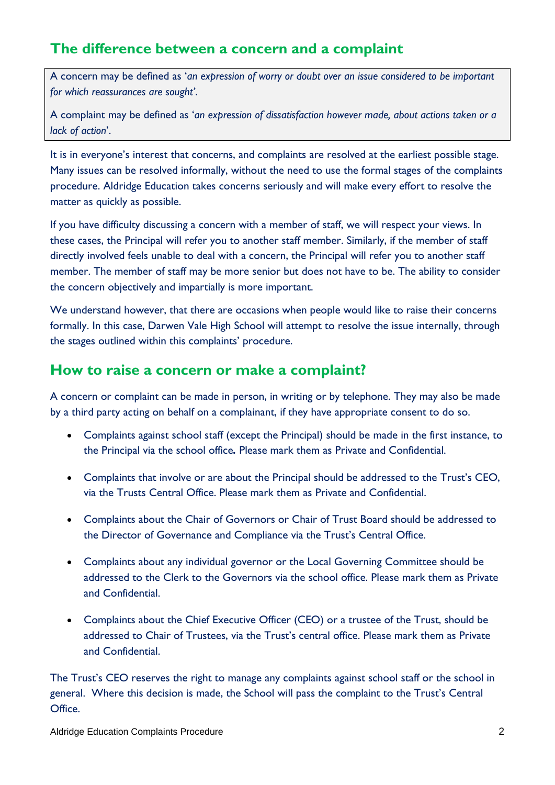### **The difference between a concern and a complaint**

A concern may be defined as '*an expression of worry or doubt over an issue considered to be important for which reassurances are sought'*.

A complaint may be defined as '*an expression of dissatisfaction however made, about actions taken or a lack of action*'.

It is in everyone's interest that concerns, and complaints are resolved at the earliest possible stage. Many issues can be resolved informally, without the need to use the formal stages of the complaints procedure. Aldridge Education takes concerns seriously and will make every effort to resolve the matter as quickly as possible.

If you have difficulty discussing a concern with a member of staff, we will respect your views. In these cases, the Principal will refer you to another staff member. Similarly, if the member of staff directly involved feels unable to deal with a concern, the Principal will refer you to another staff member. The member of staff may be more senior but does not have to be. The ability to consider the concern objectively and impartially is more important.

We understand however, that there are occasions when people would like to raise their concerns formally. In this case, Darwen Vale High School will attempt to resolve the issue internally, through the stages outlined within this complaints' procedure.

#### **How to raise a concern or make a complaint?**

A concern or complaint can be made in person, in writing or by telephone. They may also be made by a third party acting on behalf on a complainant, if they have appropriate consent to do so.

- Complaints against school staff (except the Principal) should be made in the first instance, to the Principal via the school office*.* Please mark them as Private and Confidential.
- Complaints that involve or are about the Principal should be addressed to the Trust's CEO, via the Trusts Central Office. Please mark them as Private and Confidential.
- Complaints about the Chair of Governors or Chair of Trust Board should be addressed to the Director of Governance and Compliance via the Trust's Central Office.
- Complaints about any individual governor or the Local Governing Committee should be addressed to the Clerk to the Governors via the school office. Please mark them as Private and Confidential.
- Complaints about the Chief Executive Officer (CEO) or a trustee of the Trust, should be addressed to Chair of Trustees, via the Trust's central office. Please mark them as Private and Confidential.

The Trust's CEO reserves the right to manage any complaints against school staff or the school in general. Where this decision is made, the School will pass the complaint to the Trust's Central Office.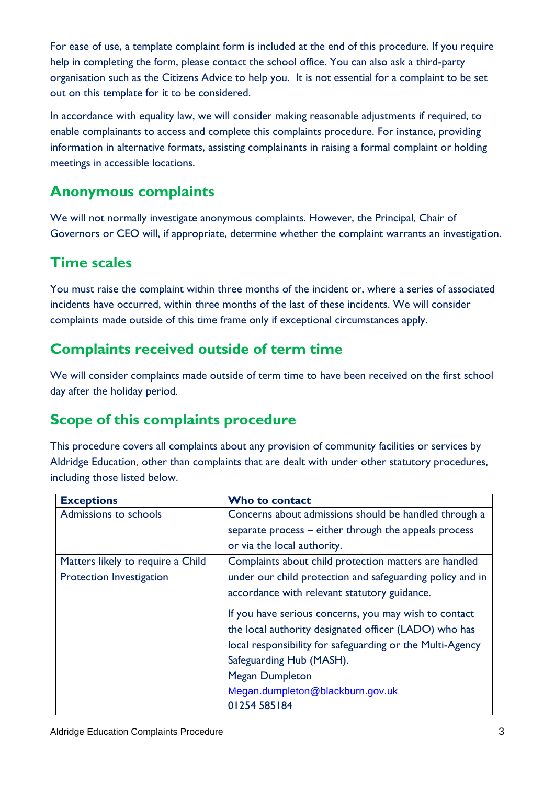For ease of use, a template complaint form is included at the end of this procedure. If you require help in completing the form, please contact the school office. You can also ask a third-party organisation such as the Citizens Advice to help you. It is not essential for a complaint to be set out on this template for it to be considered.

In accordance with equality law, we will consider making reasonable adjustments if required, to enable complainants to access and complete this complaints procedure. For instance, providing information in alternative formats, assisting complainants in raising a formal complaint or holding meetings in accessible locations.

### **Anonymous complaints**

We will not normally investigate anonymous complaints. However, the Principal, Chair of Governors or CEO will, if appropriate, determine whether the complaint warrants an investigation.

## **Time scales**

You must raise the complaint within three months of the incident or, where a series of associated incidents have occurred, within three months of the last of these incidents. We will consider complaints made outside of this time frame only if exceptional circumstances apply.

### **Complaints received outside of term time**

We will consider complaints made outside of term time to have been received on the first school day after the holiday period.

# **Scope of this complaints procedure**

This procedure covers all complaints about any provision of community facilities or services by Aldridge Education, other than complaints that are dealt with under other statutory procedures, including those listed below.

| <b>Exceptions</b>                 | Who to contact                                            |
|-----------------------------------|-----------------------------------------------------------|
| Admissions to schools             | Concerns about admissions should be handled through a     |
|                                   | separate process – either through the appeals process     |
|                                   | or via the local authority.                               |
| Matters likely to require a Child | Complaints about child protection matters are handled     |
| Protection Investigation          | under our child protection and safeguarding policy and in |
|                                   | accordance with relevant statutory guidance.              |
|                                   | If you have serious concerns, you may wish to contact     |
|                                   | the local authority designated officer (LADO) who has     |
|                                   | local responsibility for safeguarding or the Multi-Agency |
|                                   | Safeguarding Hub (MASH).                                  |
|                                   | <b>Megan Dumpleton</b>                                    |
|                                   | Megan.dumpleton@blackburn.gov.uk                          |
|                                   | 01254 585 184                                             |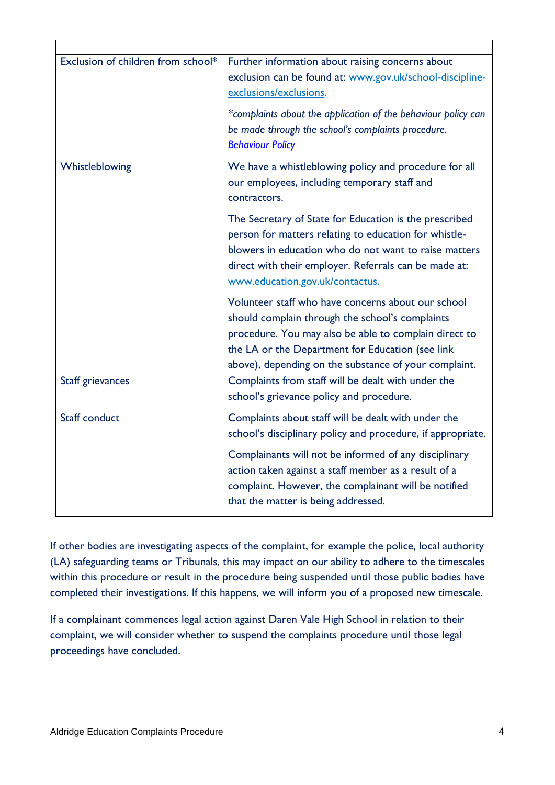| Exclusion of children from school* | Further information about raising concerns about<br>exclusion can be found at: www.gov.uk/school-discipline-<br>exclusions/exclusions.<br>*complaints about the application of the behaviour policy can<br>be made through the school's complaints procedure.<br><b>Behaviour Policy</b>                                           |
|------------------------------------|------------------------------------------------------------------------------------------------------------------------------------------------------------------------------------------------------------------------------------------------------------------------------------------------------------------------------------|
| Whistleblowing                     | We have a whistleblowing policy and procedure for all<br>our employees, including temporary staff and<br>contractors.                                                                                                                                                                                                              |
|                                    | The Secretary of State for Education is the prescribed<br>person for matters relating to education for whistle-<br>blowers in education who do not want to raise matters<br>direct with their employer. Referrals can be made at:<br>www.education.gov.uk/contactus.                                                               |
|                                    | Volunteer staff who have concerns about our school<br>should complain through the school's complaints<br>procedure. You may also be able to complain direct to<br>the LA or the Department for Education (see link<br>above), depending on the substance of your complaint.                                                        |
| <b>Staff grievances</b>            | Complaints from staff will be dealt with under the<br>school's grievance policy and procedure.                                                                                                                                                                                                                                     |
| <b>Staff conduct</b>               | Complaints about staff will be dealt with under the<br>school's disciplinary policy and procedure, if appropriate.<br>Complainants will not be informed of any disciplinary<br>action taken against a staff member as a result of a<br>complaint. However, the complainant will be notified<br>that the matter is being addressed. |

If other bodies are investigating aspects of the complaint, for example the police, local authority (LA) safeguarding teams or Tribunals, this may impact on our ability to adhere to the timescales within this procedure or result in the procedure being suspended until those public bodies have completed their investigations. If this happens, we will inform you of a proposed new timescale.

If a complainant commences legal action against Daren Vale High School in relation to their complaint, we will consider whether to suspend the complaints procedure until those legal proceedings have concluded.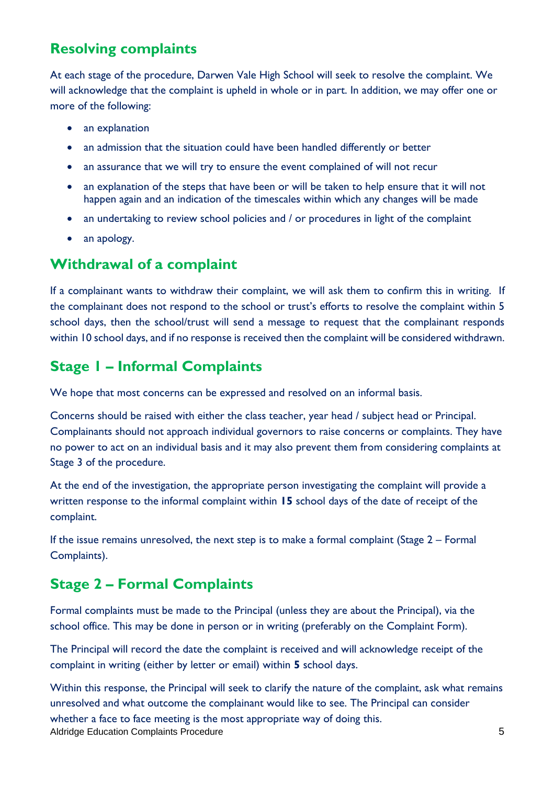## **Resolving complaints**

At each stage of the procedure, Darwen Vale High School will seek to resolve the complaint. We will acknowledge that the complaint is upheld in whole or in part. In addition, we may offer one or more of the following:

- an explanation
- an admission that the situation could have been handled differently or better
- an assurance that we will try to ensure the event complained of will not recur
- an explanation of the steps that have been or will be taken to help ensure that it will not happen again and an indication of the timescales within which any changes will be made
- an undertaking to review school policies and / or procedures in light of the complaint
- an apology.

#### **Withdrawal of a complaint**

If a complainant wants to withdraw their complaint, we will ask them to confirm this in writing. If the complainant does not respond to the school or trust's efforts to resolve the complaint within 5 school days, then the school/trust will send a message to request that the complainant responds within 10 school days, and if no response is received then the complaint will be considered withdrawn.

#### **Stage 1 – Informal Complaints**

We hope that most concerns can be expressed and resolved on an informal basis.

Concerns should be raised with either the class teacher, year head / subject head or Principal. Complainants should not approach individual governors to raise concerns or complaints. They have no power to act on an individual basis and it may also prevent them from considering complaints at Stage 3 of the procedure.

At the end of the investigation, the appropriate person investigating the complaint will provide a written response to the informal complaint within **15** school days of the date of receipt of the complaint.

If the issue remains unresolved, the next step is to make a formal complaint (Stage 2 – Formal Complaints).

### **Stage 2 – Formal Complaints**

Formal complaints must be made to the Principal (unless they are about the Principal), via the school office. This may be done in person or in writing (preferably on the Complaint Form).

The Principal will record the date the complaint is received and will acknowledge receipt of the complaint in writing (either by letter or email) within **5** school days.

Aldridge Education Complaints Procedure 5 Within this response, the Principal will seek to clarify the nature of the complaint, ask what remains unresolved and what outcome the complainant would like to see. The Principal can consider whether a face to face meeting is the most appropriate way of doing this.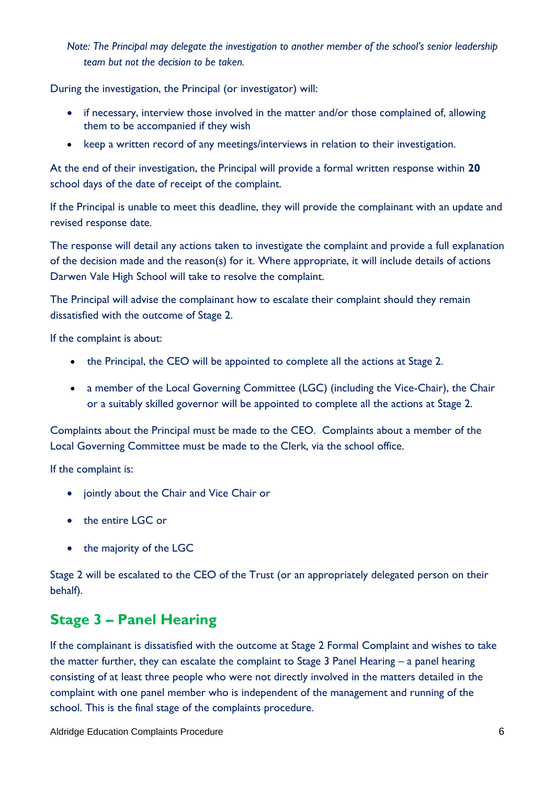*Note: The Principal may delegate the investigation to another member of the school's senior leadership team but not the decision to be taken.*

During the investigation, the Principal (or investigator) will:

- if necessary, interview those involved in the matter and/or those complained of, allowing them to be accompanied if they wish
- keep a written record of any meetings/interviews in relation to their investigation.

At the end of their investigation, the Principal will provide a formal written response within **20** school days of the date of receipt of the complaint.

If the Principal is unable to meet this deadline, they will provide the complainant with an update and revised response date.

The response will detail any actions taken to investigate the complaint and provide a full explanation of the decision made and the reason(s) for it. Where appropriate, it will include details of actions Darwen Vale High School will take to resolve the complaint.

The Principal will advise the complainant how to escalate their complaint should they remain dissatisfied with the outcome of Stage 2.

If the complaint is about:

- the Principal, the CEO will be appointed to complete all the actions at Stage 2.
- a member of the Local Governing Committee (LGC) (including the Vice-Chair), the Chair or a suitably skilled governor will be appointed to complete all the actions at Stage 2.

Complaints about the Principal must be made to the CEO. Complaints about a member of the Local Governing Committee must be made to the Clerk, via the school office.

If the complaint is:

- jointly about the Chair and Vice Chair or
- the entire LGC or
- the majority of the LGC

Stage 2 will be escalated to the CEO of the Trust (or an appropriately delegated person on their behalf).

### **Stage 3 – Panel Hearing**

If the complainant is dissatisfied with the outcome at Stage 2 Formal Complaint and wishes to take the matter further, they can escalate the complaint to Stage 3 Panel Hearing – a panel hearing consisting of at least three people who were not directly involved in the matters detailed in the complaint with one panel member who is independent of the management and running of the school. This is the final stage of the complaints procedure.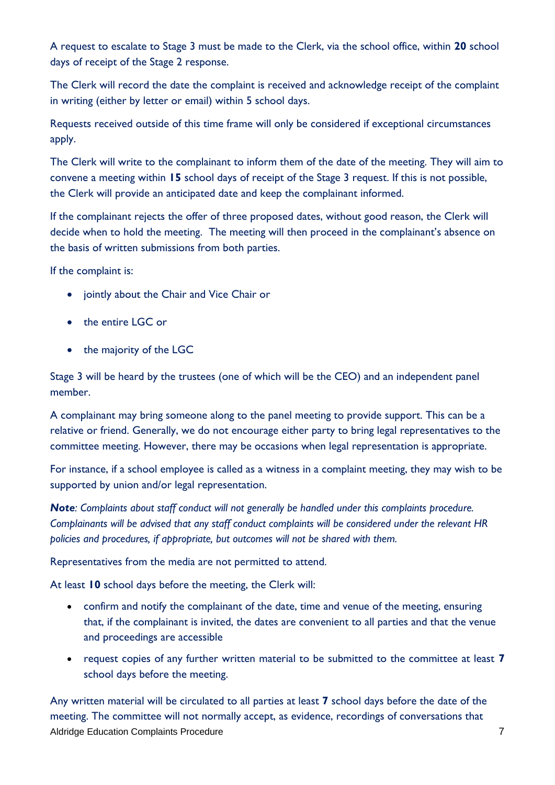A request to escalate to Stage 3 must be made to the Clerk, via the school office, within **20** school days of receipt of the Stage 2 response.

The Clerk will record the date the complaint is received and acknowledge receipt of the complaint in writing (either by letter or email) within 5 school days.

Requests received outside of this time frame will only be considered if exceptional circumstances apply.

The Clerk will write to the complainant to inform them of the date of the meeting. They will aim to convene a meeting within **15** school days of receipt of the Stage 3 request. If this is not possible, the Clerk will provide an anticipated date and keep the complainant informed.

If the complainant rejects the offer of three proposed dates, without good reason, the Clerk will decide when to hold the meeting. The meeting will then proceed in the complainant's absence on the basis of written submissions from both parties.

If the complaint is:

- jointly about the Chair and Vice Chair or
- the entire LGC or
- the majority of the LGC

Stage 3 will be heard by the trustees (one of which will be the CEO) and an independent panel member.

A complainant may bring someone along to the panel meeting to provide support. This can be a relative or friend. Generally, we do not encourage either party to bring legal representatives to the committee meeting. However, there may be occasions when legal representation is appropriate.

For instance, if a school employee is called as a witness in a complaint meeting, they may wish to be supported by union and/or legal representation.

*Note: Complaints about staff conduct will not generally be handled under this complaints procedure. Complainants will be advised that any staff conduct complaints will be considered under the relevant HR policies and procedures, if appropriate, but outcomes will not be shared with them.* 

Representatives from the media are not permitted to attend.

At least **10** school days before the meeting, the Clerk will:

- confirm and notify the complainant of the date, time and venue of the meeting, ensuring that, if the complainant is invited, the dates are convenient to all parties and that the venue and proceedings are accessible
- request copies of any further written material to be submitted to the committee at least **7** school days before the meeting.

Aldridge Education Complaints Procedure 7 and 2008 7 Any written material will be circulated to all parties at least **7** school days before the date of the meeting. The committee will not normally accept, as evidence, recordings of conversations that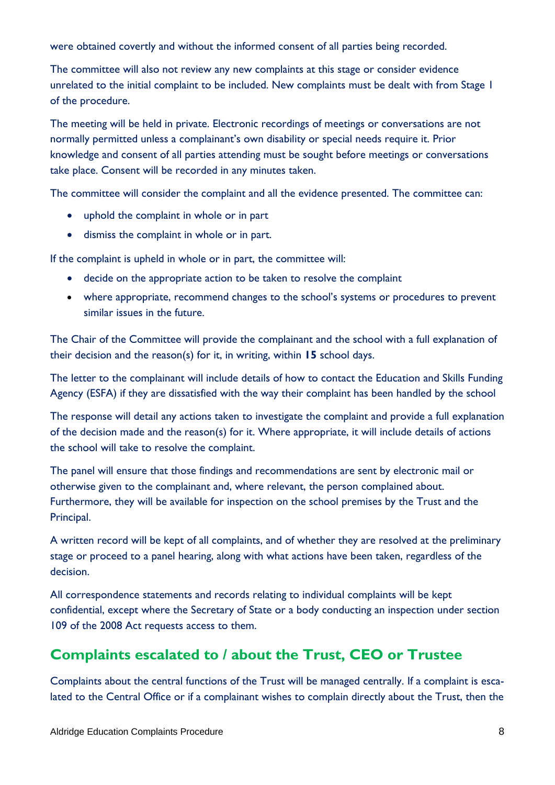were obtained covertly and without the informed consent of all parties being recorded.

The committee will also not review any new complaints at this stage or consider evidence unrelated to the initial complaint to be included. New complaints must be dealt with from Stage 1 of the procedure.

The meeting will be held in private. Electronic recordings of meetings or conversations are not normally permitted unless a complainant's own disability or special needs require it. Prior knowledge and consent of all parties attending must be sought before meetings or conversations take place. Consent will be recorded in any minutes taken.

The committee will consider the complaint and all the evidence presented. The committee can:

- uphold the complaint in whole or in part
- dismiss the complaint in whole or in part.

If the complaint is upheld in whole or in part, the committee will:

- decide on the appropriate action to be taken to resolve the complaint
- where appropriate, recommend changes to the school's systems or procedures to prevent similar issues in the future.

The Chair of the Committee will provide the complainant and the school with a full explanation of their decision and the reason(s) for it, in writing, within **15** school days.

The letter to the complainant will include details of how to contact the Education and Skills Funding Agency (ESFA) if they are dissatisfied with the way their complaint has been handled by the school

The response will detail any actions taken to investigate the complaint and provide a full explanation of the decision made and the reason(s) for it. Where appropriate, it will include details of actions the school will take to resolve the complaint.

The panel will ensure that those findings and recommendations are sent by electronic mail or otherwise given to the complainant and, where relevant, the person complained about. Furthermore, they will be available for inspection on the school premises by the Trust and the Principal.

A written record will be kept of all complaints, and of whether they are resolved at the preliminary stage or proceed to a panel hearing, along with what actions have been taken, regardless of the decision.

All correspondence statements and records relating to individual complaints will be kept confidential, except where the Secretary of State or a body conducting an inspection under section 109 of the 2008 Act requests access to them.

### **Complaints escalated to / about the Trust, CEO or Trustee**

Complaints about the central functions of the Trust will be managed centrally. If a complaint is escalated to the Central Office or if a complainant wishes to complain directly about the Trust, then the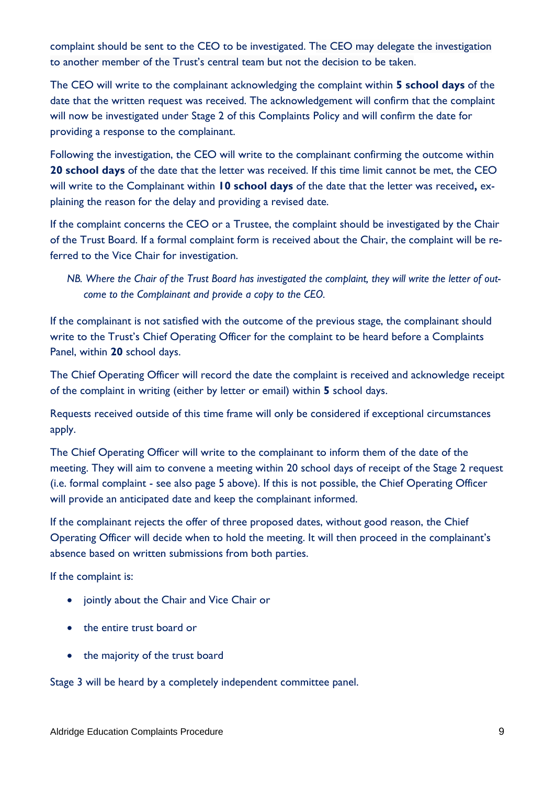complaint should be sent to the CEO to be investigated. The CEO may delegate the investigation to another member of the Trust's central team but not the decision to be taken.

The CEO will write to the complainant acknowledging the complaint within **5 school days** of the date that the written request was received. The acknowledgement will confirm that the complaint will now be investigated under Stage 2 of this Complaints Policy and will confirm the date for providing a response to the complainant.

Following the investigation, the CEO will write to the complainant confirming the outcome within **20 school days** of the date that the letter was received. If this time limit cannot be met, the CEO will write to the Complainant within **10 school days** of the date that the letter was received**,** explaining the reason for the delay and providing a revised date.

If the complaint concerns the CEO or a Trustee, the complaint should be investigated by the Chair of the Trust Board. If a formal complaint form is received about the Chair, the complaint will be referred to the Vice Chair for investigation.

*NB. Where the Chair of the Trust Board has investigated the complaint, they will write the letter of outcome to the Complainant and provide a copy to the CEO.* 

If the complainant is not satisfied with the outcome of the previous stage, the complainant should write to the Trust's Chief Operating Officer for the complaint to be heard before a Complaints Panel, within **20** school days.

The Chief Operating Officer will record the date the complaint is received and acknowledge receipt of the complaint in writing (either by letter or email) within **5** school days.

Requests received outside of this time frame will only be considered if exceptional circumstances apply.

The Chief Operating Officer will write to the complainant to inform them of the date of the meeting. They will aim to convene a meeting within 20 school days of receipt of the Stage 2 request (i.e. formal complaint - see also page 5 above). If this is not possible, the Chief Operating Officer will provide an anticipated date and keep the complainant informed.

If the complainant rejects the offer of three proposed dates, without good reason, the Chief Operating Officer will decide when to hold the meeting. It will then proceed in the complainant's absence based on written submissions from both parties.

If the complaint is:

- jointly about the Chair and Vice Chair or
- the entire trust board or
- the majority of the trust board

Stage 3 will be heard by a completely independent committee panel.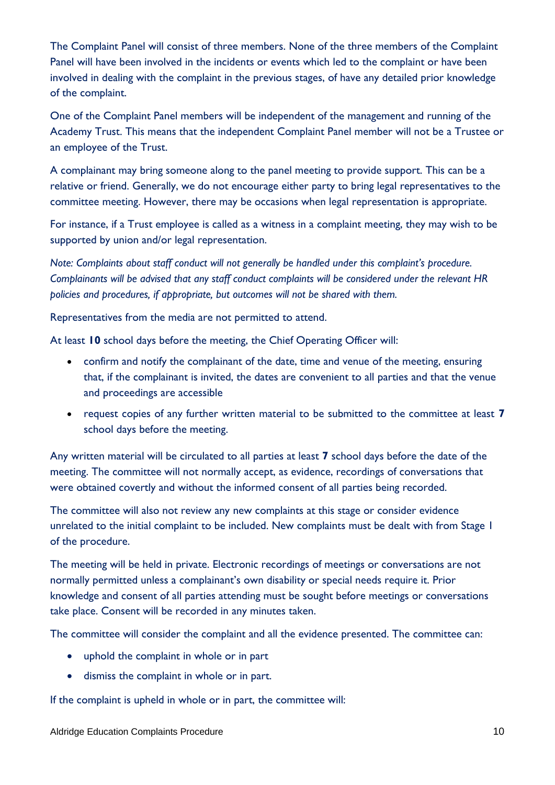The Complaint Panel will consist of three members. None of the three members of the Complaint Panel will have been involved in the incidents or events which led to the complaint or have been involved in dealing with the complaint in the previous stages, of have any detailed prior knowledge of the complaint.

One of the Complaint Panel members will be independent of the management and running of the Academy Trust. This means that the independent Complaint Panel member will not be a Trustee or an employee of the Trust.

A complainant may bring someone along to the panel meeting to provide support. This can be a relative or friend. Generally, we do not encourage either party to bring legal representatives to the committee meeting. However, there may be occasions when legal representation is appropriate.

For instance, if a Trust employee is called as a witness in a complaint meeting, they may wish to be supported by union and/or legal representation.

*Note: Complaints about staff conduct will not generally be handled under this complaint's procedure. Complainants will be advised that any staff conduct complaints will be considered under the relevant HR policies and procedures, if appropriate, but outcomes will not be shared with them.* 

Representatives from the media are not permitted to attend.

At least **10** school days before the meeting, the Chief Operating Officer will:

- confirm and notify the complainant of the date, time and venue of the meeting, ensuring that, if the complainant is invited, the dates are convenient to all parties and that the venue and proceedings are accessible
- request copies of any further written material to be submitted to the committee at least **7** school days before the meeting.

Any written material will be circulated to all parties at least **7** school days before the date of the meeting. The committee will not normally accept, as evidence, recordings of conversations that were obtained covertly and without the informed consent of all parties being recorded.

The committee will also not review any new complaints at this stage or consider evidence unrelated to the initial complaint to be included. New complaints must be dealt with from Stage 1 of the procedure.

The meeting will be held in private. Electronic recordings of meetings or conversations are not normally permitted unless a complainant's own disability or special needs require it. Prior knowledge and consent of all parties attending must be sought before meetings or conversations take place. Consent will be recorded in any minutes taken.

The committee will consider the complaint and all the evidence presented. The committee can:

- uphold the complaint in whole or in part
- dismiss the complaint in whole or in part.

If the complaint is upheld in whole or in part, the committee will: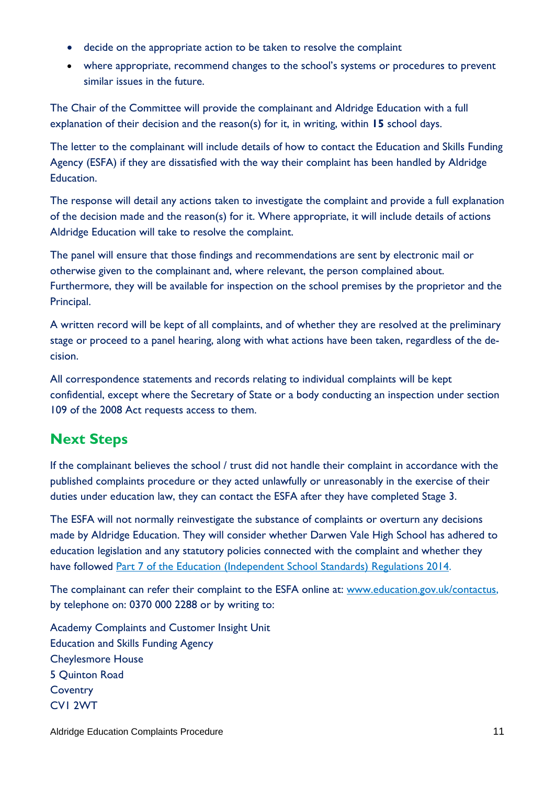- decide on the appropriate action to be taken to resolve the complaint
- where appropriate, recommend changes to the school's systems or procedures to prevent similar issues in the future.

The Chair of the Committee will provide the complainant and Aldridge Education with a full explanation of their decision and the reason(s) for it, in writing, within **15** school days.

The letter to the complainant will include details of how to contact the Education and Skills Funding Agency (ESFA) if they are dissatisfied with the way their complaint has been handled by Aldridge Education.

The response will detail any actions taken to investigate the complaint and provide a full explanation of the decision made and the reason(s) for it. Where appropriate, it will include details of actions Aldridge Education will take to resolve the complaint.

The panel will ensure that those findings and recommendations are sent by electronic mail or otherwise given to the complainant and, where relevant, the person complained about. Furthermore, they will be available for inspection on the school premises by the proprietor and the Principal.

A written record will be kept of all complaints, and of whether they are resolved at the preliminary stage or proceed to a panel hearing, along with what actions have been taken, regardless of the decision.

All correspondence statements and records relating to individual complaints will be kept confidential, except where the Secretary of State or a body conducting an inspection under section 109 of the 2008 Act requests access to them.

# **Next Steps**

If the complainant believes the school / trust did not handle their complaint in accordance with the published complaints procedure or they acted unlawfully or unreasonably in the exercise of their duties under education law, they can contact the ESFA after they have completed Stage 3.

The ESFA will not normally reinvestigate the substance of complaints or overturn any decisions made by Aldridge Education. They will consider whether Darwen Vale High School has adhered to education legislation and any statutory policies connected with the complaint and whether they have followed [Part 7 of the Education \(Independent School Standards\) Regulations 2014.](http://www.legislation.gov.uk/uksi/2010/1997/schedule/1/made)

The complainant can refer their complaint to the ESFA online at: [www.education.gov.uk/contactus,](http://www.education.gov.uk/contactus) by telephone on: 0370 000 2288 or by writing to:

Academy Complaints and Customer Insight Unit Education and Skills Funding Agency Cheylesmore House 5 Quinton Road **Coventry** CV1 2WT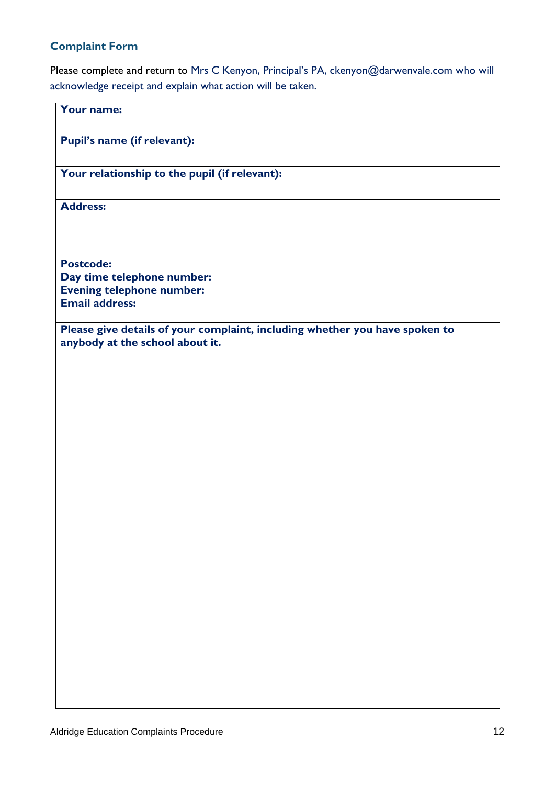#### **Complaint Form**

Please complete and return to Mrs C Kenyon, Principal's PA, ckenyon@darwenvale.com who will acknowledge receipt and explain what action will be taken.

| Your name:                                                                                                     |
|----------------------------------------------------------------------------------------------------------------|
| Pupil's name (if relevant):                                                                                    |
| Your relationship to the pupil (if relevant):                                                                  |
| <b>Address:</b>                                                                                                |
|                                                                                                                |
| <b>Postcode:</b><br>Day time telephone number:                                                                 |
| <b>Evening telephone number:</b>                                                                               |
| <b>Email address:</b>                                                                                          |
| Please give details of your complaint, including whether you have spoken to<br>anybody at the school about it. |
|                                                                                                                |
|                                                                                                                |
|                                                                                                                |
|                                                                                                                |
|                                                                                                                |
|                                                                                                                |
|                                                                                                                |
|                                                                                                                |
|                                                                                                                |
|                                                                                                                |
|                                                                                                                |
|                                                                                                                |
|                                                                                                                |
|                                                                                                                |
|                                                                                                                |
|                                                                                                                |
|                                                                                                                |
|                                                                                                                |
|                                                                                                                |
|                                                                                                                |
|                                                                                                                |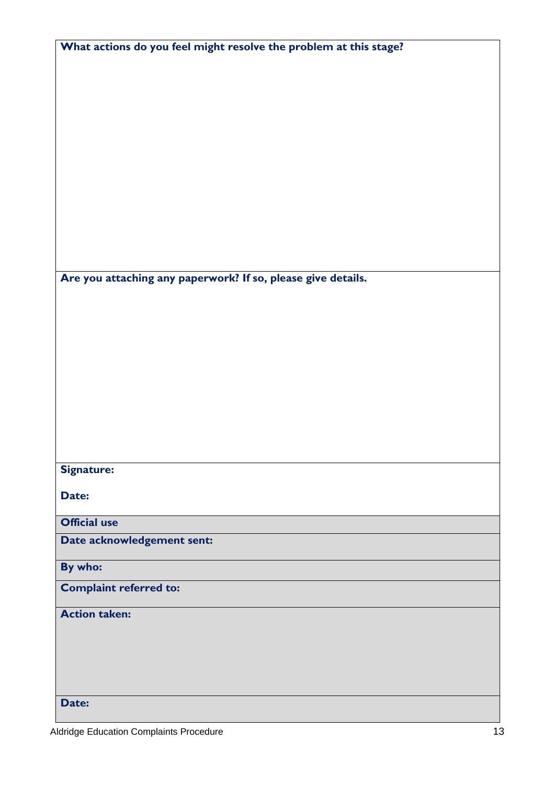| What actions do you feel might resolve the problem at this stage? |
|-------------------------------------------------------------------|
|                                                                   |
|                                                                   |
|                                                                   |
|                                                                   |
|                                                                   |
|                                                                   |
|                                                                   |
|                                                                   |
|                                                                   |
|                                                                   |
| Are you attaching any paperwork? If so, please give details.      |
|                                                                   |
|                                                                   |
|                                                                   |
|                                                                   |
|                                                                   |
|                                                                   |
|                                                                   |
|                                                                   |
| <b>Signature:</b>                                                 |
| Date:                                                             |
|                                                                   |
| <b>Official use</b><br>Date acknowledgement sent:                 |
|                                                                   |
| By who:                                                           |
| <b>Complaint referred to:</b>                                     |
| <b>Action taken:</b>                                              |
|                                                                   |
|                                                                   |
|                                                                   |
| Date:                                                             |
|                                                                   |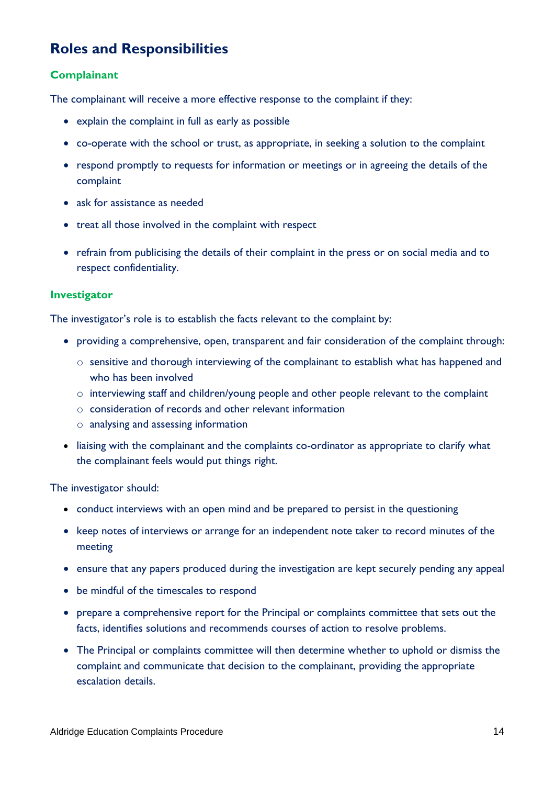### **Roles and Responsibilities**

#### **Complainant**

The complainant will receive a more effective response to the complaint if they:

- explain the complaint in full as early as possible
- co-operate with the school or trust, as appropriate, in seeking a solution to the complaint
- respond promptly to requests for information or meetings or in agreeing the details of the complaint
- ask for assistance as needed
- treat all those involved in the complaint with respect
- refrain from publicising the details of their complaint in the press or on social media and to respect confidentiality.

#### **Investigator**

The investigator's role is to establish the facts relevant to the complaint by:

- providing a comprehensive, open, transparent and fair consideration of the complaint through:
	- o sensitive and thorough interviewing of the complainant to establish what has happened and who has been involved
	- o interviewing staff and children/young people and other people relevant to the complaint
	- o consideration of records and other relevant information
	- o analysing and assessing information
- liaising with the complainant and the complaints co-ordinator as appropriate to clarify what the complainant feels would put things right.

The investigator should:

- conduct interviews with an open mind and be prepared to persist in the questioning
- keep notes of interviews or arrange for an independent note taker to record minutes of the meeting
- ensure that any papers produced during the investigation are kept securely pending any appeal
- be mindful of the timescales to respond
- prepare a comprehensive report for the Principal or complaints committee that sets out the facts, identifies solutions and recommends courses of action to resolve problems.
- The Principal or complaints committee will then determine whether to uphold or dismiss the complaint and communicate that decision to the complainant, providing the appropriate escalation details.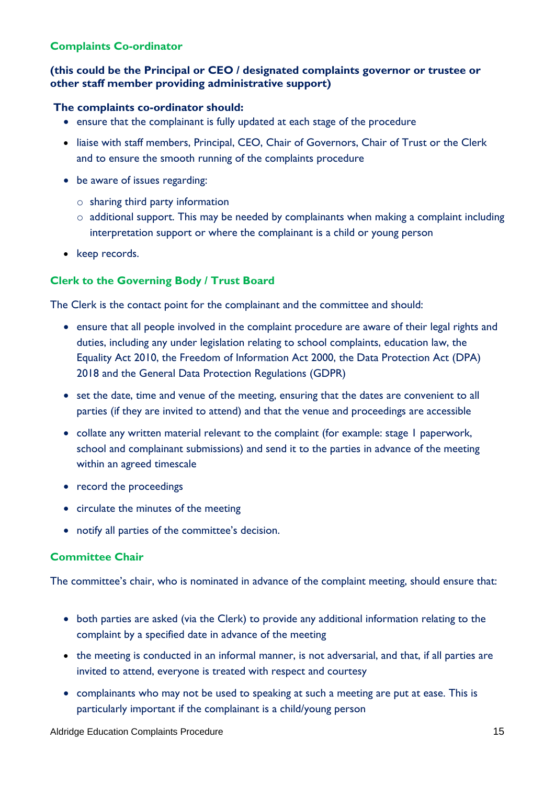#### **Complaints Co-ordinator**

#### **(this could be the Principal or CEO / designated complaints governor or trustee or other staff member providing administrative support)**

#### **The complaints co-ordinator should:**

- ensure that the complainant is fully updated at each stage of the procedure
- liaise with staff members, Principal, CEO, Chair of Governors, Chair of Trust or the Clerk and to ensure the smooth running of the complaints procedure
- be aware of issues regarding:
	- o sharing third party information
	- $\circ$  additional support. This may be needed by complainants when making a complaint including interpretation support or where the complainant is a child or young person
- keep records.

#### **Clerk to the Governing Body / Trust Board**

The Clerk is the contact point for the complainant and the committee and should:

- ensure that all people involved in the complaint procedure are aware of their legal rights and duties, including any under legislation relating to school complaints, education law, the Equality Act 2010, the Freedom of Information Act 2000, the Data Protection Act (DPA) 2018 and the General Data Protection Regulations (GDPR)
- set the date, time and venue of the meeting, ensuring that the dates are convenient to all parties (if they are invited to attend) and that the venue and proceedings are accessible
- collate any written material relevant to the complaint (for example: stage I paperwork, school and complainant submissions) and send it to the parties in advance of the meeting within an agreed timescale
- record the proceedings
- circulate the minutes of the meeting
- notify all parties of the committee's decision.

#### **Committee Chair**

The committee's chair, who is nominated in advance of the complaint meeting, should ensure that:

- both parties are asked (via the Clerk) to provide any additional information relating to the complaint by a specified date in advance of the meeting
- the meeting is conducted in an informal manner, is not adversarial, and that, if all parties are invited to attend, everyone is treated with respect and courtesy
- complainants who may not be used to speaking at such a meeting are put at ease. This is particularly important if the complainant is a child/young person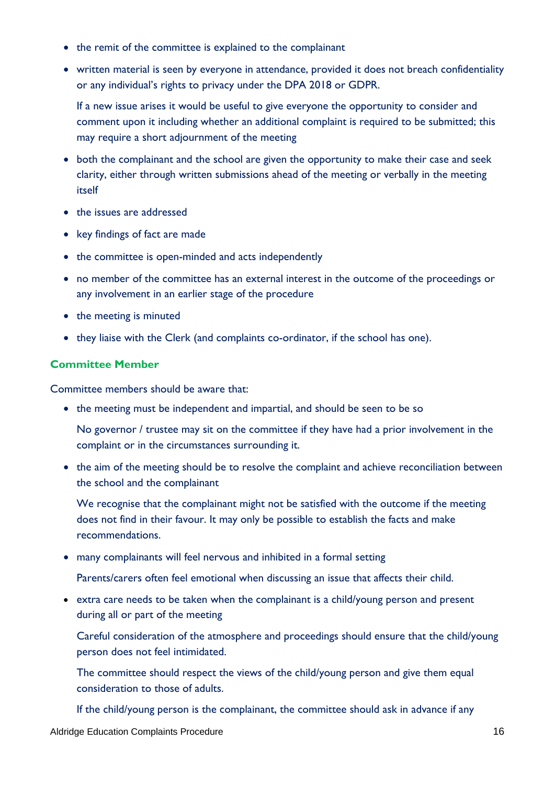- the remit of the committee is explained to the complainant
- written material is seen by everyone in attendance, provided it does not breach confidentiality or any individual's rights to privacy under the DPA 2018 or GDPR.

If a new issue arises it would be useful to give everyone the opportunity to consider and comment upon it including whether an additional complaint is required to be submitted; this may require a short adjournment of the meeting

- both the complainant and the school are given the opportunity to make their case and seek clarity, either through written submissions ahead of the meeting or verbally in the meeting itself
- the issues are addressed
- key findings of fact are made
- the committee is open-minded and acts independently
- no member of the committee has an external interest in the outcome of the proceedings or any involvement in an earlier stage of the procedure
- the meeting is minuted
- they liaise with the Clerk (and complaints co-ordinator, if the school has one).

#### **Committee Member**

Committee members should be aware that:

• the meeting must be independent and impartial, and should be seen to be so

No governor / trustee may sit on the committee if they have had a prior involvement in the complaint or in the circumstances surrounding it.

• the aim of the meeting should be to resolve the complaint and achieve reconciliation between the school and the complainant

We recognise that the complainant might not be satisfied with the outcome if the meeting does not find in their favour. It may only be possible to establish the facts and make recommendations.

• many complainants will feel nervous and inhibited in a formal setting

Parents/carers often feel emotional when discussing an issue that affects their child.

• extra care needs to be taken when the complainant is a child/young person and present during all or part of the meeting

Careful consideration of the atmosphere and proceedings should ensure that the child/young person does not feel intimidated.

The committee should respect the views of the child/young person and give them equal consideration to those of adults.

If the child/young person is the complainant, the committee should ask in advance if any